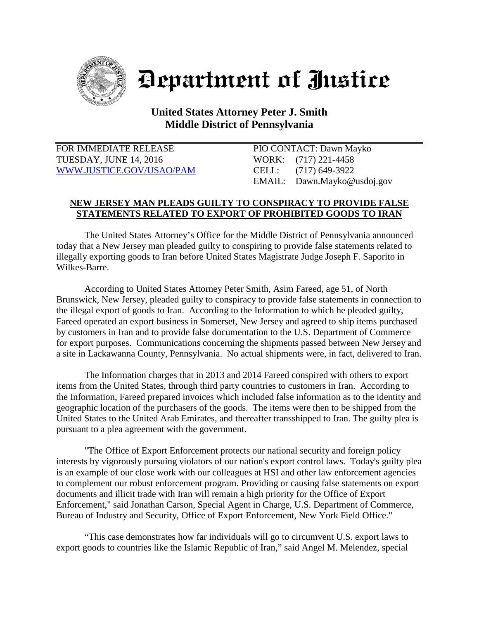

## Department of Justice

## **United States Attorney Peter J. Smith Middle District of Pennsylvania**

FOR IMMEDIATE RELEASE PIO CONTACT: Dawn Mayko TUESDAY, JUNE 14, 2016 WORK: (717) 221-4458 [WWW.JUSTICE.GOV/USAO/P](http://www.justice.gov/USAO/)AM CELL: (717) 649-3922

EMAIL: Dawn.Mayko@usdoj.gov

## **NEW JERSEY MAN PLEADS GUILTY TO CONSPIRACY TO PROVIDE FALSE STATEMENTS RELATED TO EXPORT OF PROHIBITED GOODS TO IRAN**

The United States Attorney's Office for the Middle District of Pennsylvania announced today that a New Jersey man pleaded guilty to conspiring to provide false statements related to illegally exporting goods to Iran before United States Magistrate Judge Joseph F. Saporito in Wilkes-Barre.

According to United States Attorney Peter Smith, Asim Fareed, age 51, of North Brunswick, New Jersey, pleaded guilty to conspiracy to provide false statements in connection to the illegal export of goods to Iran. According to the Information to which he pleaded guilty, Fareed operated an export business in Somerset, New Jersey and agreed to ship items purchased by customers in Iran and to provide false documentation to the U.S. Department of Commerce for export purposes. Communications concerning the shipments passed between New Jersey and a site in Lackawanna County, Pennsylvania. No actual shipments were, in fact, delivered to Iran.

The Information charges that in 2013 and 2014 Fareed conspired with others to export items from the United States, through third party countries to customers in Iran. According to the Information, Fareed prepared invoices which included false information as to the identity and geographic location of the purchasers of the goods. The items were then to be shipped from the United States to the United Arab Emirates, and thereafter transshipped to Iran. The guilty plea is pursuant to a plea agreement with the government.

"The Office of Export Enforcement protects our national security and foreign policy interests by vigorously pursuing violators of our nation's export control laws. Today's guilty plea is an example of our close work with our colleagues at HSI and other law enforcement agencies to complement our robust enforcement program. Providing or causing false statements on export documents and illicit trade with Iran will remain a high priority for the Office of Export Enforcement," said Jonathan Carson, Special Agent in Charge, U.S. Department of Commerce, Bureau of Industry and Security, Office of Export Enforcement, New York Field Office."

"This case demonstrates how far individuals will go to circumvent U.S. export laws to export goods to countries like the Islamic Republic of Iran," said Angel M. Melendez, special